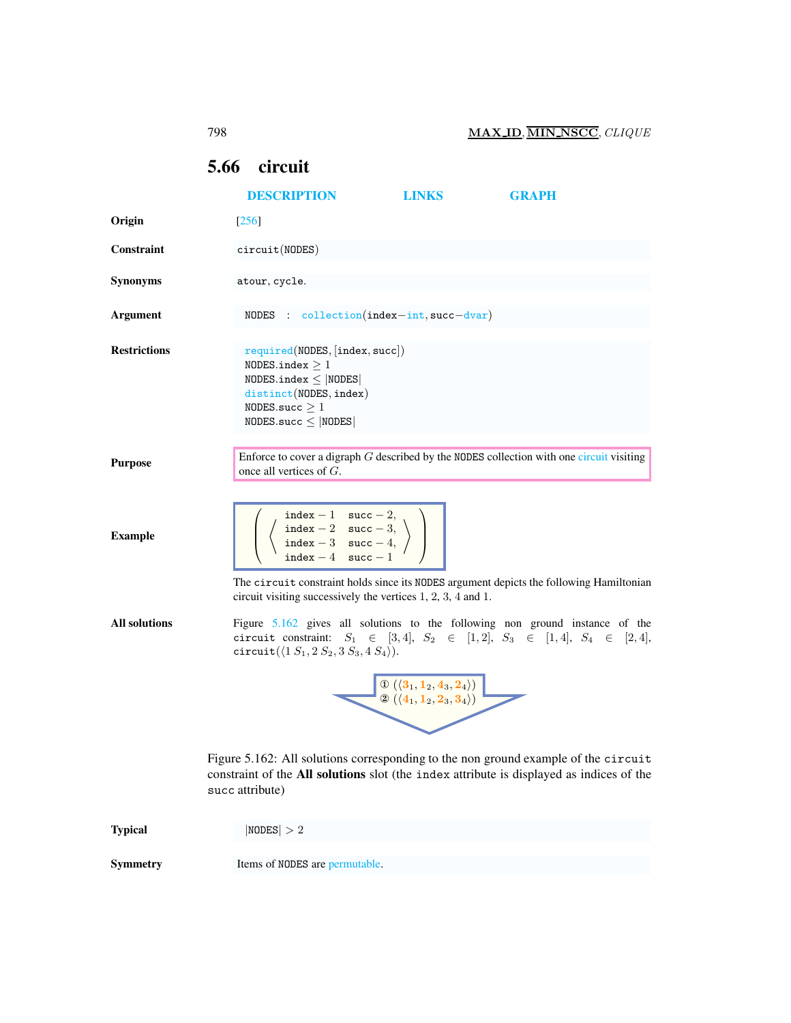## <span id="page-0-2"></span><span id="page-0-0"></span>5.66 circuit

<span id="page-0-1"></span>

|                      | <b>DESCRIPTION</b>                                                                                                                                                                                                                                                                   | <b>LINKS</b>                                                                                                                                                                                                                                                    | <b>GRAPH</b>                                                                                                                                                            |  |
|----------------------|--------------------------------------------------------------------------------------------------------------------------------------------------------------------------------------------------------------------------------------------------------------------------------------|-----------------------------------------------------------------------------------------------------------------------------------------------------------------------------------------------------------------------------------------------------------------|-------------------------------------------------------------------------------------------------------------------------------------------------------------------------|--|
| Origin               | [256]                                                                                                                                                                                                                                                                                |                                                                                                                                                                                                                                                                 |                                                                                                                                                                         |  |
| Constraint           | circuit(MODES)                                                                                                                                                                                                                                                                       |                                                                                                                                                                                                                                                                 |                                                                                                                                                                         |  |
| <b>Synonyms</b>      | atour, cycle.                                                                                                                                                                                                                                                                        |                                                                                                                                                                                                                                                                 |                                                                                                                                                                         |  |
| <b>Argument</b>      | NODES : $\text{collection}(\text{index} - \text{int}, \text{succ}-\text{dvar})$                                                                                                                                                                                                      |                                                                                                                                                                                                                                                                 |                                                                                                                                                                         |  |
| <b>Restrictions</b>  | required(NDDES, [index, succ])<br>NODES.index $\geq 1$<br>$NODES.index \leq  NODES $<br>distinct(NODES, index)<br>NODES.succ $\geq 1$<br>$NODES.size \leq  NODES $                                                                                                                   |                                                                                                                                                                                                                                                                 |                                                                                                                                                                         |  |
| <b>Purpose</b>       | once all vertices of $G$ .                                                                                                                                                                                                                                                           |                                                                                                                                                                                                                                                                 | Enforce to cover a digraph $G$ described by the NODES collection with one circuit visiting                                                                              |  |
| <b>Example</b>       | $\begin{array}{l} \mathtt{index} -1 \quad \mathtt{succ} -2, \\ \mathtt{index} -2 \quad \mathtt{succ} -3, \\ \mathtt{index} -3 \quad \mathtt{succ} -4, \\ \mathtt{index} -4 \quad \mathtt{succ} -1 \end{array}\Bigg)$<br>circuit visiting successively the vertices 1, 2, 3, 4 and 1. |                                                                                                                                                                                                                                                                 | The circuit constraint holds since its NODES argument depicts the following Hamiltonian                                                                                 |  |
| <b>All solutions</b> | circuit( $(1 S_1, 2 S_2, 3 S_3, 4 S_4)$ ).                                                                                                                                                                                                                                           |                                                                                                                                                                                                                                                                 | Figure $5.162$ gives all solutions to the following non ground instance of the<br>circuit constraint: $S_1 \in [3, 4], S_2 \in [1, 2], S_3 \in [1, 4], S_4 \in [2, 4],$ |  |
|                      |                                                                                                                                                                                                                                                                                      | $\begin{array}{ c c } \hline \mathbb{O} \left(\langle \mathbf{3}_1, \mathbf{1}_2, \mathbf{4}_3, \mathbf{2}_4 \rangle \right) & \ \hline \mathbb{Q} \left(\langle \mathbf{4}_1, \mathbf{1}_2, \mathbf{2}_3, \mathbf{3}_4 \rangle \right) & \ \hline \end{array}$ |                                                                                                                                                                         |  |
|                      | Figure 5.162: All solutions corresponding to the non ground example of the circuit<br>constraint of the All solutions slot (the index attribute is displayed as indices of the<br>succ attribute)                                                                                    |                                                                                                                                                                                                                                                                 |                                                                                                                                                                         |  |
| <b>Typical</b>       | NODES  > 2                                                                                                                                                                                                                                                                           |                                                                                                                                                                                                                                                                 |                                                                                                                                                                         |  |
| <b>Symmetry</b>      | Items of NODES are permutable.                                                                                                                                                                                                                                                       |                                                                                                                                                                                                                                                                 |                                                                                                                                                                         |  |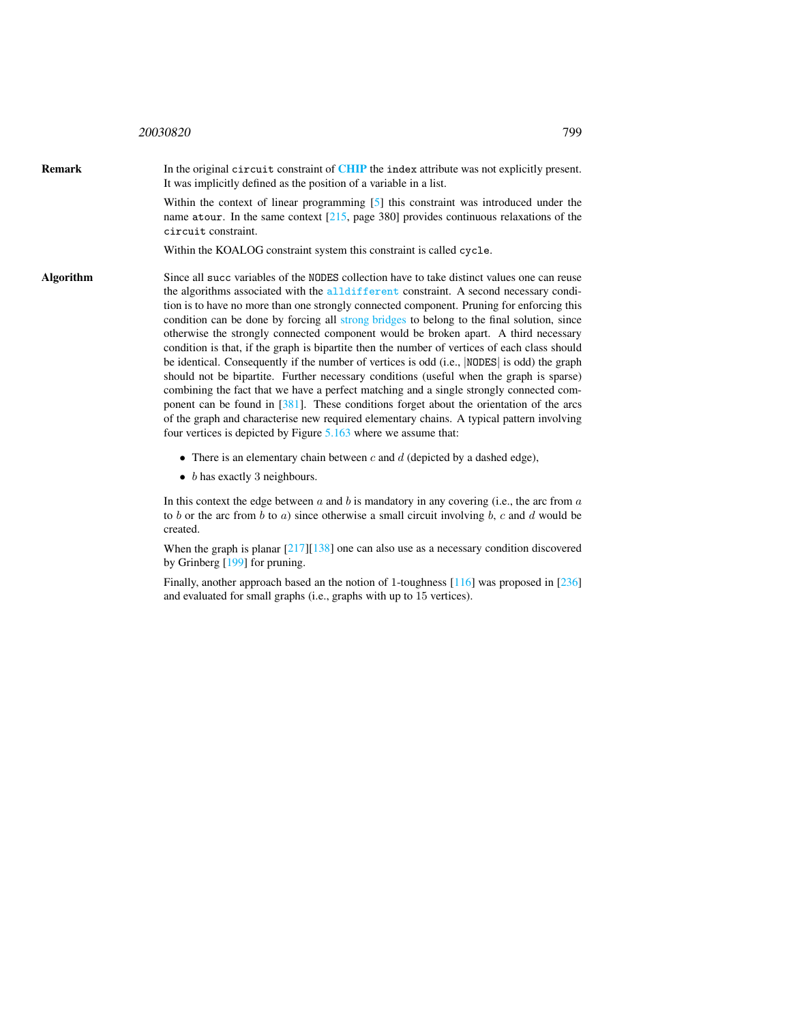## <sup>20030820</sup> 799

**Remark** In the original circuit constraint of **[CHIP](http://www.cosytec.com)** the index attribute was not explicitly present. It was implicitly defined as the position of a variable in a list. Within the context of linear programming [5] this constraint was introduced under the name atour. In the same context [215, page 380] provides continuous relaxations of the circuit constraint. Within the KOALOG constraint system this constraint is called cycle. Algorithm Since all succ variables of the NODES collection have to take distinct values one can reuse the algorithms associated with the alldifferent constraint. A second necessary condition is to have no more than one strongly connected component. Pruning for enforcing this condition can be done by forcing all strong bridges to belong to the final solution, since otherwise the strongly connected component would be broken apart. A third necessary condition is that, if the graph is bipartite then the number of vertices of each class should be identical. Consequently if the number of vertices is odd (i.e., |NODES| is odd) the graph should not be bipartite. Further necessary conditions (useful when the graph is sparse) combining the fact that we have a perfect matching and a single strongly connected component can be found in [381]. These conditions forget about the orientation of the arcs of the graph and characterise new required elementary chains. A typical pattern involving

four vertices is depicted by Figure [5.163](#page-2-0) where we assume that:

- There is an elementary chain between  $c$  and  $d$  (depicted by a dashed edge),
- $\bullet$  b has exactly 3 neighbours.

In this context the edge between  $a$  and  $b$  is mandatory in any covering (i.e., the arc from  $a$ to b or the arc from b to a) since otherwise a small circuit involving b, c and d would be created.

When the graph is planar  $\left[217\right]\left[138\right]$  one can also use as a necessary condition discovered by Grinberg [199] for pruning.

Finally, another approach based an the notion of 1-toughness [116] was proposed in [236] and evaluated for small graphs (i.e., graphs with up to 15 vertices).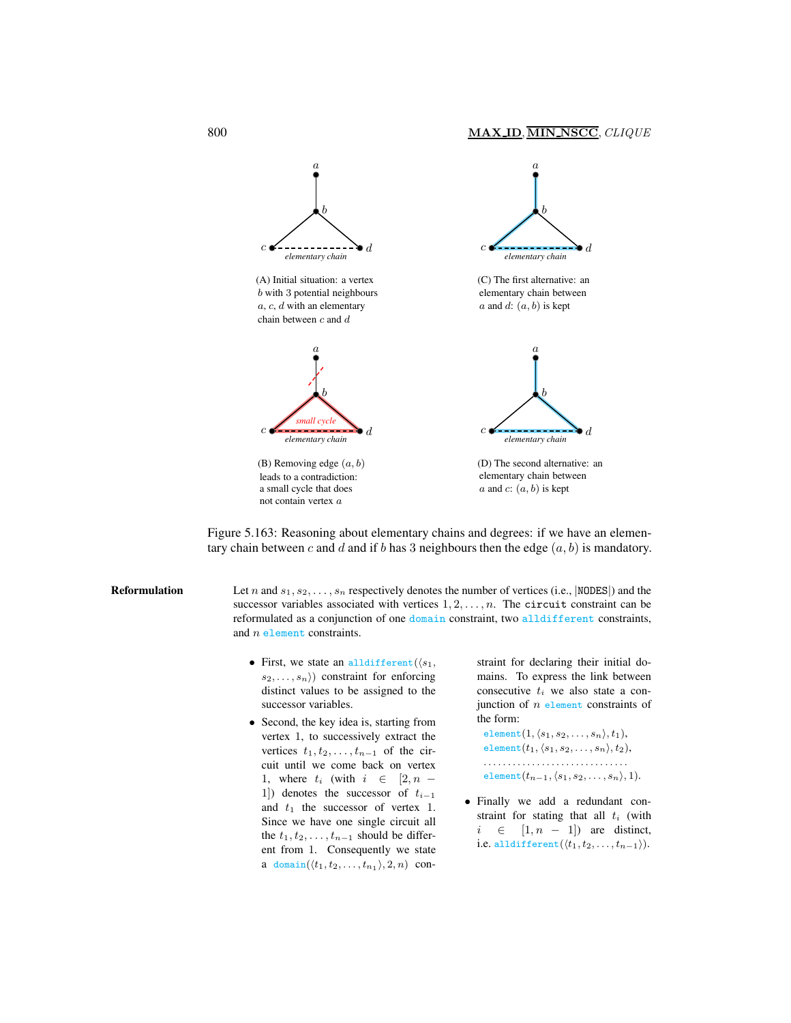

<span id="page-2-0"></span>leads to a contradiction: a small cycle that does not contain vertex a

elementary chain between  $a$  and  $c$ :  $(a, b)$  is kept

Figure 5.163: Reasoning about elementary chains and degrees: if we have an elementary chain between c and d and if b has 3 neighbours then the edge  $(a, b)$  is mandatory.

**Reformulation** Let n and  $s_1, s_2, \ldots, s_n$  respectively denotes the number of vertices (i.e., |NODES|) and the successor variables associated with vertices  $1, 2, \ldots, n$ . The circuit constraint can be reformulated as a conjunction of one domain constraint, two alldifferent constraints, and  $n$  element constraints.

- First, we state an alldifferent  $(s_1,$  $s_2, \ldots, s_n$ ) constraint for enforcing distinct values to be assigned to the successor variables.
- Second, the key idea is, starting from vertex 1, to successively extract the vertices  $t_1, t_2, \ldots, t_{n-1}$  of the circuit until we come back on vertex 1, where  $t_i$  (with  $i \in [2, n -$ 1]) denotes the successor of  $t_{i-1}$ and  $t_1$  the successor of vertex 1. Since we have one single circuit all the  $t_1, t_2, \ldots, t_{n-1}$  should be different from 1. Consequently we state a domain $(\langle t_1, t_2, \ldots, t_{n_1} \rangle, 2, n)$  con-

straint for declaring their initial domains. To express the link between consecutive  $t_i$  we also state a conjunction of  $n$  element constraints of the form:

element $(1, \langle s_1, s_2, \ldots, s_n \rangle, t_1),$ element $(t_1, \langle s_1, s_2, \ldots, s_n \rangle, t_2),$ . . . . . . . . . . . . . . . . . . . . . . . . . . . . . . element $(t_{n-1}, \langle s_1, s_2, \ldots, s_n \rangle, 1)$ .

• Finally we add a redundant constraint for stating that all  $t_i$  (with  $i \in [1, n - 1]$  are distinct, i.e. alldifferent $(\langle t_1, t_2, \ldots, t_{n-1} \rangle)$ .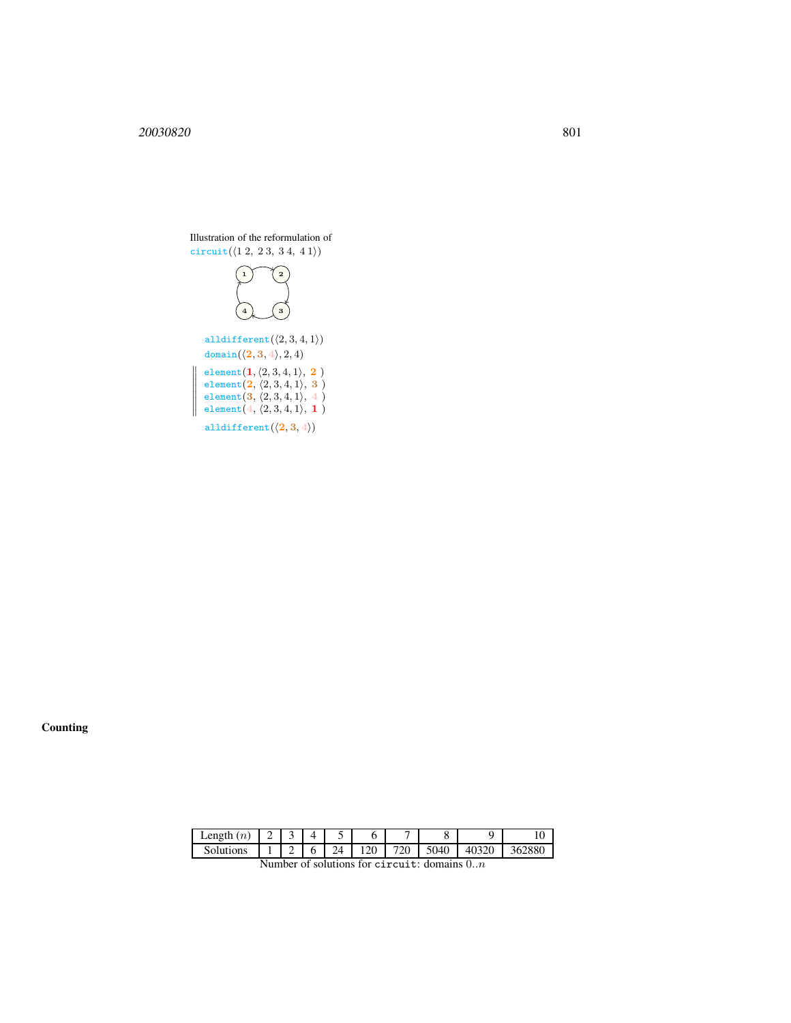

**Counting** 

| Length<br>(n, | ∸ |   |   |    |            |     |      |            | ິ      |
|---------------|---|---|---|----|------------|-----|------|------------|--------|
| Solutions     |   | - | v | 24 | 120<br>-⊷∪ | 720 | 5040 | 40320<br>⊷ | 362880 |

```
Number of solutions for circuit: domains 0..n
```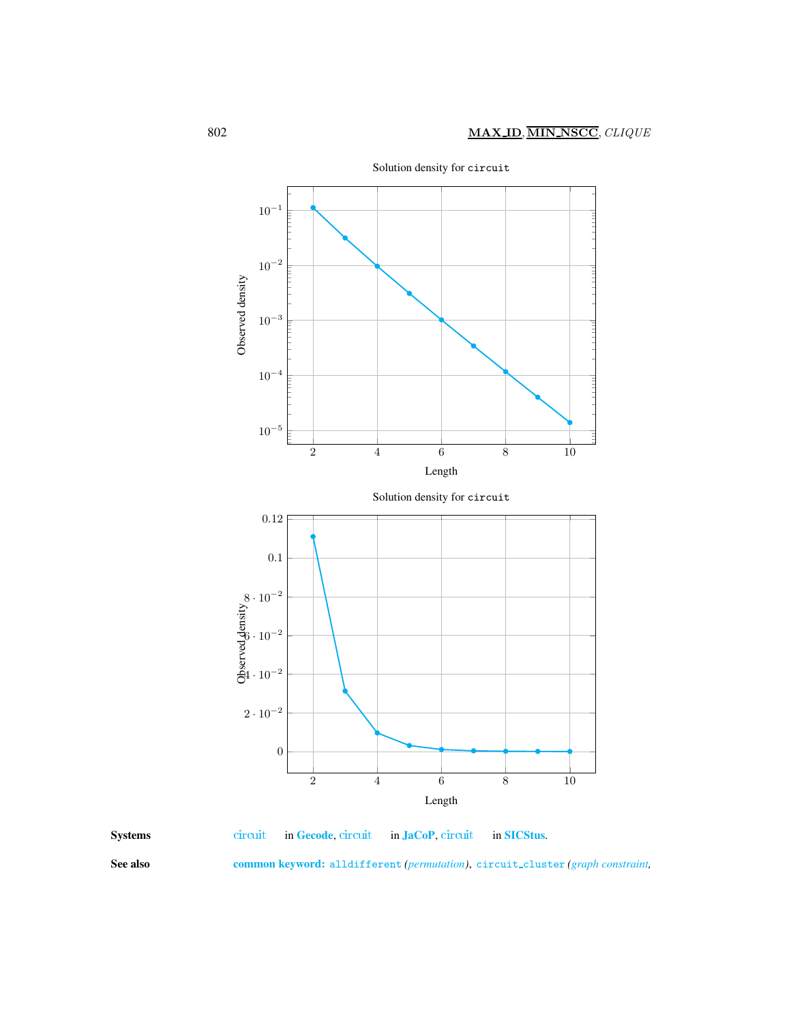



<span id="page-4-0"></span>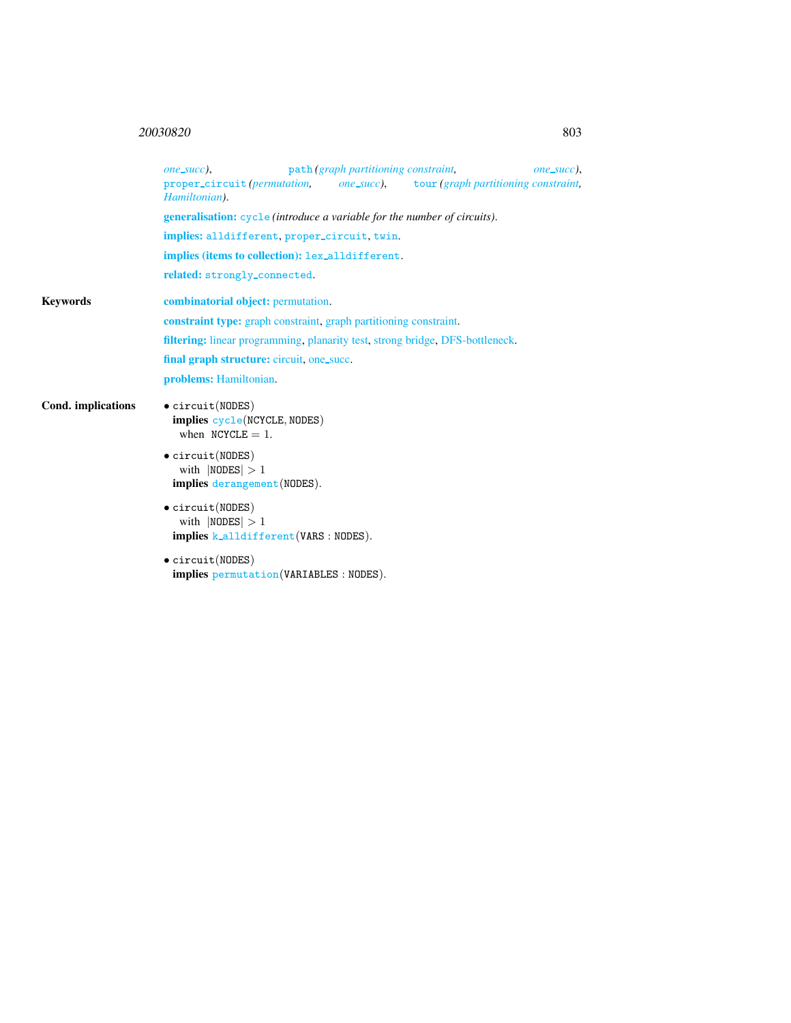## <sup>20030820</sup> 803

|                    | path (graph partitioning constraint,<br>one_succ),<br>one_succ),                                   |  |  |  |  |  |  |
|--------------------|----------------------------------------------------------------------------------------------------|--|--|--|--|--|--|
|                    | proper_circuit (permutation, one_succ), tour (graph partitioning constraint,<br>Hamiltonian).      |  |  |  |  |  |  |
|                    | <b>generalisation:</b> cycle (introduce a variable for the number of circuits).                    |  |  |  |  |  |  |
|                    | implies: alldifferent, proper_circuit, twin.                                                       |  |  |  |  |  |  |
|                    | implies (items to collection): lex_alldifferent.                                                   |  |  |  |  |  |  |
|                    | related: strongly_connected.                                                                       |  |  |  |  |  |  |
| <b>Keywords</b>    | <b>combinatorial object:</b> permutation.                                                          |  |  |  |  |  |  |
|                    | <b>constraint type:</b> graph constraint, graph partitioning constraint.                           |  |  |  |  |  |  |
|                    | <b>filtering:</b> linear programming, planarity test, strong bridge, DFS-bottleneck.               |  |  |  |  |  |  |
|                    | final graph structure: circuit, one_succ.                                                          |  |  |  |  |  |  |
|                    | problems: Hamiltonian.                                                                             |  |  |  |  |  |  |
| Cond. implications | $\bullet$ circuit(NODES)<br>implies cycle(NCYCLE, NODES)<br>when $NCYCLE = 1$ .                    |  |  |  |  |  |  |
|                    | $\bullet$ circuit(NODES)<br>with $ NODES  > 1$<br><b>implies</b> derangement (NODES).              |  |  |  |  |  |  |
|                    | $\bullet$ circuit(NODES)<br>with $ NODES  > 1$<br><b>implies</b> $k$ -alldifferent (VARS : NODES). |  |  |  |  |  |  |
|                    | $\bullet$ circuit(NODES)<br>implies permutation (VARIABLES : NODES).                               |  |  |  |  |  |  |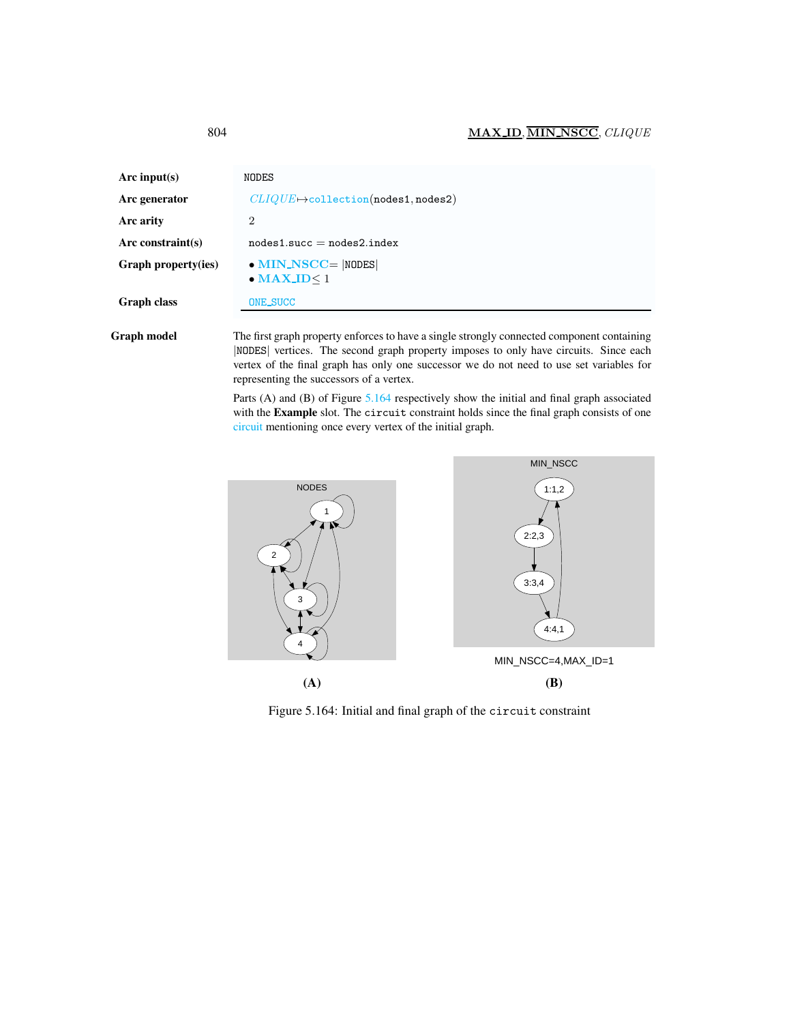| Arc input(s)        | NODES                                                                                      |
|---------------------|--------------------------------------------------------------------------------------------|
| Arc generator       | $CLIQUE \rightarrow collection(nodes1, nodes2)$                                            |
| Arc arity           | $\overline{2}$                                                                             |
| Arc constraint(s)   | $nodes1.succ = nodes2.index$                                                               |
| Graph property(ies) | $\bullet$ MIN_NSCC=  NODES <br>$\bullet$ MAX_ID $\leq$ 1                                   |
| Graph class         | <b>ONE_SUCC</b>                                                                            |
| Graph model         | The first graph property enforces to have a single strongly connected component containing |

|NODES| vertices. The second graph property imposes to only have circuits. Since each vertex of the final graph has only one successor we do not need to use set variables for representing the successors of a vertex.

Parts (A) and (B) of Figure [5.164](#page-6-1) respectively show the initial and final graph associated with the Example slot. The circuit constraint holds since the final graph consists of one circuit mentioning once every vertex of the initial graph.



<span id="page-6-1"></span>Figure 5.164: Initial and final graph of the circuit constraint

<span id="page-6-0"></span>